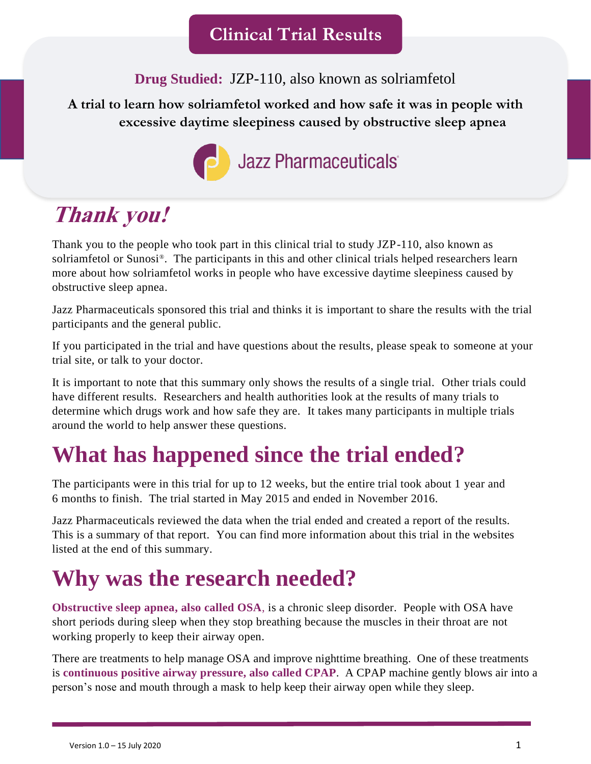**Drug Studied:** JZP-110, also known as solriamfetol

### **A trial to learn how solriamfetol worked and how safe it was in people with excessive daytime sleepiness caused by obstructive sleep apnea**



# **Thank you!**

Thank you to the people who took part in this clinical trial to study JZP-110, also known as solriamfetol or Sunosi®. The participants in this and other clinical trials helped researchers learn more about how solriamfetol works in people who have excessive daytime sleepiness caused by obstructive sleep apnea.

Jazz Pharmaceuticals sponsored this trial and thinks it is important to share the results with the trial participants and the general public.

If you participated in the trial and have questions about the results, please speak to someone at your trial site, or talk to your doctor.

It is important to note that this summary only shows the results of a single trial. Other trials could have different results. Researchers and health authorities look at the results of many trials to determine which drugs work and how safe they are. It takes many participants in multiple trials around the world to help answer these questions.

# **What has happened since the trial ended?**

The participants were in this trial for up to 12 weeks, but the entire trial took about 1 year and 6 months to finish. The trial started in May 2015 and ended in November 2016.

Jazz Pharmaceuticals reviewed the data when the trial ended and created a report of the results. This is a summary of that report. You can find more information about this trial in the websites listed at the end of this summary.

# **Why was the research needed?**

**Obstructive sleep apnea, also called OSA**, is a chronic sleep disorder. People with OSA have short periods during sleep when they stop breathing because the muscles in their throat are not working properly to keep their airway open.

There are treatments to help manage OSA and improve nighttime breathing. One of these treatments is **continuous positive airway pressure, also called CPAP**. A CPAP machine gently blows air into a person's nose and mouth through a mask to help keep their airway open while they sleep.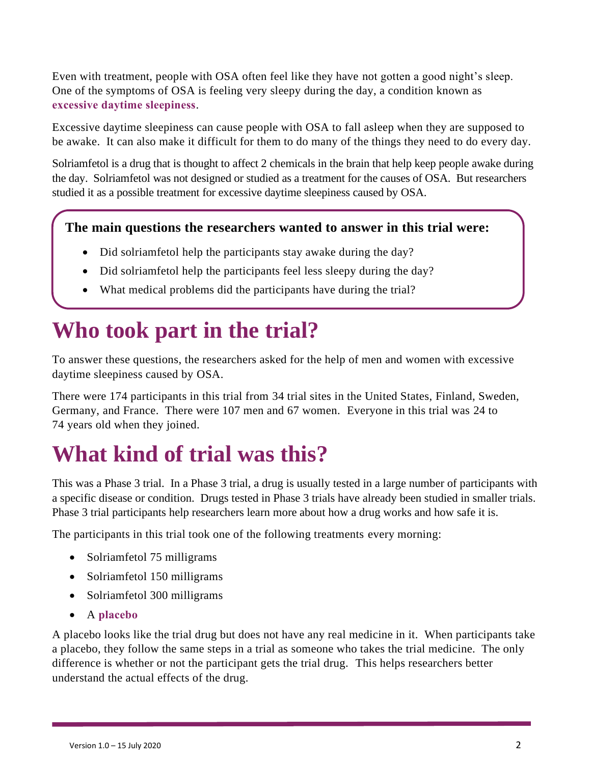Even with treatment, people with OSA often feel like they have not gotten a good night's sleep. One of the symptoms of OSA is feeling very sleepy during the day, a condition known as **excessive daytime sleepiness**.

Excessive daytime sleepiness can cause people with OSA to fall asleep when they are supposed to be awake. It can also make it difficult for them to do many of the things they need to do every day.

Solriamfetol is a drug that is thought to affect 2 chemicals in the brain that help keep people awake during the day. Solriamfetol was not designed or studied as a treatment for the causes of OSA. But researchers studied it as a possible treatment for excessive daytime sleepiness caused by OSA.

### **The main questions the researchers wanted to answer in this trial were:**

- Did solriamfetol help the participants stay awake during the day?
- Did solriamfetol help the participants feel less sleepy during the day?
- What medical problems did the participants have during the trial?

## **Who took part in the trial?**

To answer these questions, the researchers asked for the help of men and women with excessive daytime sleepiness caused by OSA.

There were 174 participants in this trial from 34 trial sites in the United States, Finland, Sweden, Germany, and France. There were 107 men and 67 women. Everyone in this trial was 24 to 74 years old when they joined.

# **What kind of trial was this?**

This was a Phase 3 trial. In a Phase 3 trial, a drug is usually tested in a large number of participants with a specific disease or condition. Drugs tested in Phase 3 trials have already been studied in smaller trials. Phase 3 trial participants help researchers learn more about how a drug works and how safe it is.

The participants in this trial took one of the following treatments every morning:

- Solriamfetol 75 milligrams
- Solriamfetol 150 milligrams
- Solriamfetol 300 milligrams
- A **placebo**

A placebo looks like the trial drug but does not have any real medicine in it. When participants take a placebo, they follow the same steps in a trial as someone who takes the trial medicine. The only difference is whether or not the participant gets the trial drug. This helps researchers better understand the actual effects of the drug.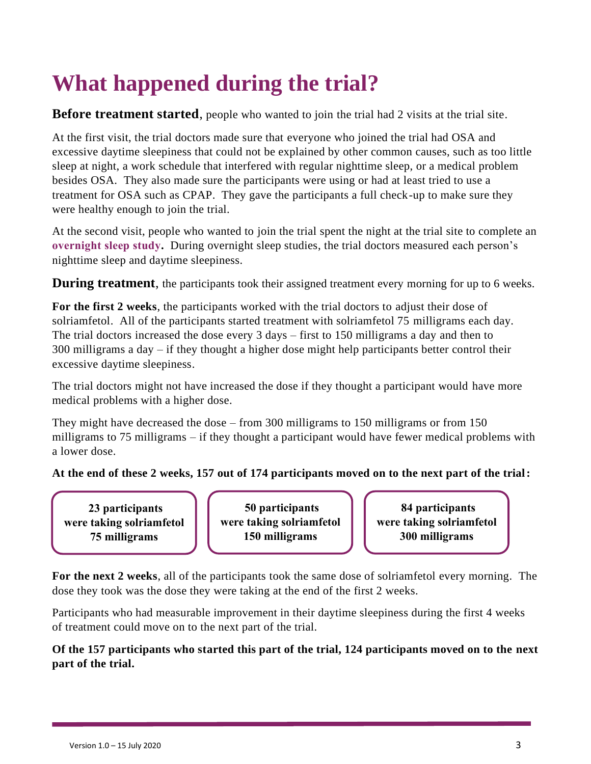# **What happened during the trial?**

### **Before treatment started**, people who wanted to join the trial had 2 visits at the trial site.

At the first visit, the trial doctors made sure that everyone who joined the trial had OSA and excessive daytime sleepiness that could not be explained by other common causes, such as too little sleep at night, a work schedule that interfered with regular nighttime sleep, or a medical problem besides OSA. They also made sure the participants were using or had at least tried to use a treatment for OSA such as CPAP. They gave the participants a full check-up to make sure they were healthy enough to join the trial.

At the second visit, people who wanted to join the trial spent the night at the trial site to complete an **overnight sleep study.** During overnight sleep studies, the trial doctors measured each person's nighttime sleep and daytime sleepiness.

**During treatment**, the participants took their assigned treatment every morning for up to 6 weeks.

**For the first 2 weeks**, the participants worked with the trial doctors to adjust their dose of solriamfetol. All of the participants started treatment with solriamfetol 75 milligrams each day. The trial doctors increased the dose every 3 days – first to 150 milligrams a day and then to 300 milligrams a day – if they thought a higher dose might help participants better control their excessive daytime sleepiness.

The trial doctors might not have increased the dose if they thought a participant would have more medical problems with a higher dose.

They might have decreased the dose – from 300 milligrams to 150 milligrams or from 150 milligrams to 75 milligrams – if they thought a participant would have fewer medical problems with a lower dose.

#### **At the end of these 2 weeks, 157 out of 174 participants moved on to the next part of the trial:**

**23 participants were taking solriamfetol 75 milligrams**

**50 participants were taking solriamfetol 150 milligrams**

**84 participants were taking solriamfetol 300 milligrams**

**For the next 2 weeks**, all of the participants took the same dose of solriamfetol every morning. The dose they took was the dose they were taking at the end of the first 2 weeks.

Participants who had measurable improvement in their daytime sleepiness during the first 4 weeks of treatment could move on to the next part of the trial.

**Of the 157 participants who started this part of the trial, 124 participants moved on to the next part of the trial.**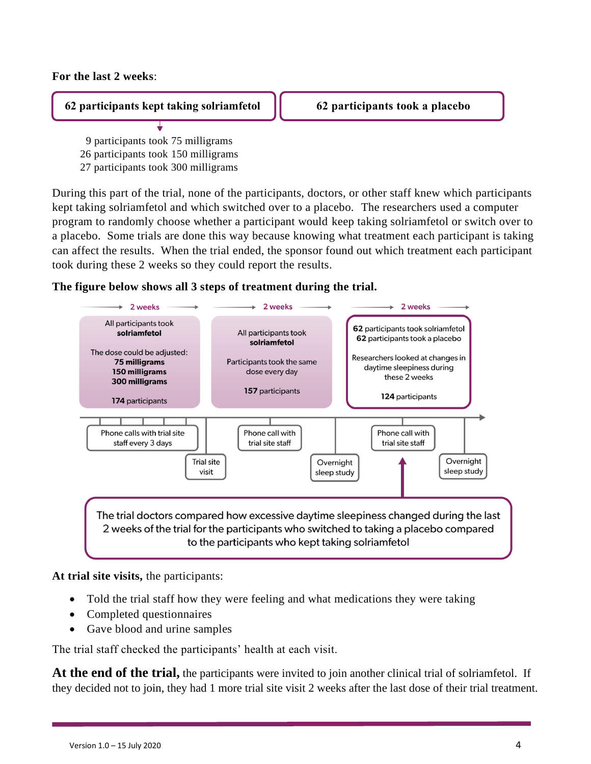#### **For the last 2 weeks**:

#### **62 participants kept taking solriamfetol 62 participants took a placebo**

 9 participants took 75 milligrams 26 participants took 150 milligrams 27 participants took 300 milligrams

During this part of the trial, none of the participants, doctors, or other staff knew which participants kept taking solriamfetol and which switched over to a placebo. The researchers used a computer program to randomly choose whether a participant would keep taking solriamfetol or switch over to a placebo. Some trials are done this way because knowing what treatment each participant is taking can affect the results. When the trial ended, the sponsor found out which treatment each participant took during these 2 weeks so they could report the results.

#### **The figure below shows all 3 steps of treatment during the trial.**



**At trial site visits,** the participants:

- Told the trial staff how they were feeling and what medications they were taking
- Completed questionnaires
- Gave blood and urine samples

The trial staff checked the participants' health at each visit.

**At the end of the trial,** the participants were invited to join another clinical trial of solriamfetol. If they decided not to join, they had 1 more trial site visit 2 weeks after the last dose of their trial treatment.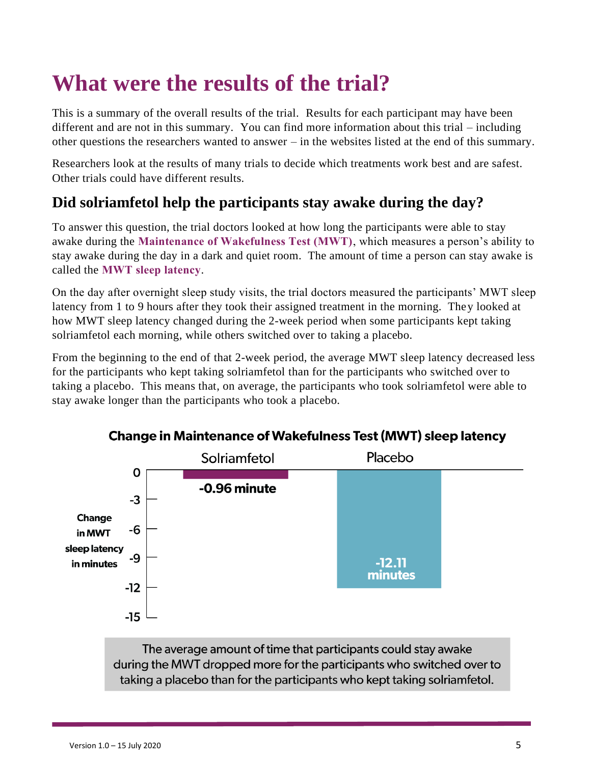# **What were the results of the trial?**

This is a summary of the overall results of the trial. Results for each participant may have been different and are not in this summary. You can find more information about this trial – including other questions the researchers wanted to answer – in the websites listed at the end of this summary.

Researchers look at the results of many trials to decide which treatments work best and are safest. Other trials could have different results.

### **Did solriamfetol help the participants stay awake during the day?**

To answer this question, the trial doctors looked at how long the participants were able to stay awake during the **Maintenance of Wakefulness Test (MWT)**, which measures a person's ability to stay awake during the day in a dark and quiet room. The amount of time a person can stay awake is called the **MWT sleep latency**.

On the day after overnight sleep study visits, the trial doctors measured the participants' MWT sleep latency from 1 to 9 hours after they took their assigned treatment in the morning. They looked at how MWT sleep latency changed during the 2-week period when some participants kept taking solriamfetol each morning, while others switched over to taking a placebo.

From the beginning to the end of that 2-week period, the average MWT sleep latency decreased less for the participants who kept taking solriamfetol than for the participants who switched over to taking a placebo. This means that, on average, the participants who took solriamfetol were able to stay awake longer than the participants who took a placebo.



### **Change in Maintenance of Wakefulness Test (MWT) sleep latency**

The average amount of time that participants could stay awake during the MWT dropped more for the participants who switched over to taking a placebo than for the participants who kept taking solriamfetol.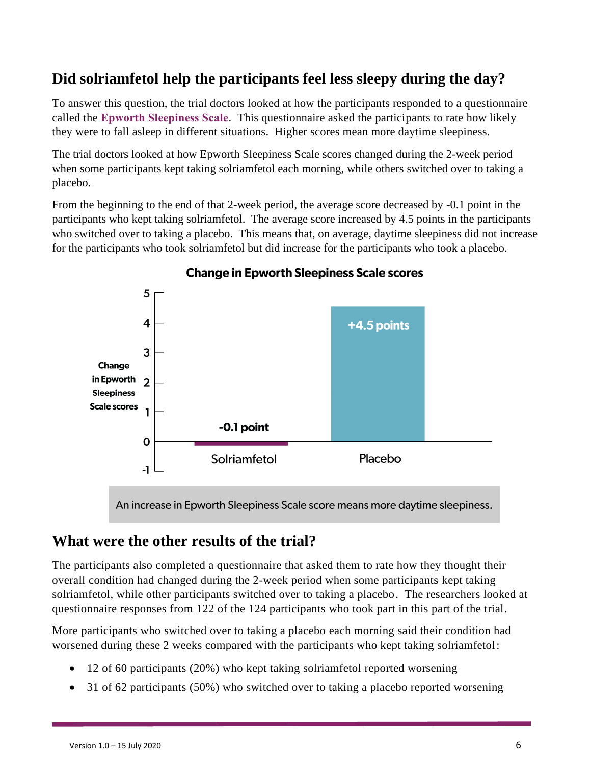### **Did solriamfetol help the participants feel less sleepy during the day?**

To answer this question, the trial doctors looked at how the participants responded to a questionnaire called the **Epworth Sleepiness Scale**. This questionnaire asked the participants to rate how likely they were to fall asleep in different situations. Higher scores mean more daytime sleepiness.

The trial doctors looked at how Epworth Sleepiness Scale scores changed during the 2-week period when some participants kept taking solriamfetol each morning, while others switched over to taking a placebo.

From the beginning to the end of that 2-week period, the average score decreased by -0.1 point in the participants who kept taking solriamfetol. The average score increased by 4.5 points in the participants who switched over to taking a placebo. This means that, on average, daytime sleepiness did not increase for the participants who took solriamfetol but did increase for the participants who took a placebo.



#### **Change in Epworth Sleepiness Scale scores**

An increase in Epworth Sleepiness Scale score means more daytime sleepiness.

### **What were the other results of the trial?**

The participants also completed a questionnaire that asked them to rate how they thought their overall condition had changed during the 2-week period when some participants kept taking solriamfetol, while other participants switched over to taking a placebo. The researchers looked at questionnaire responses from 122 of the 124 participants who took part in this part of the trial.

More participants who switched over to taking a placebo each morning said their condition had worsened during these 2 weeks compared with the participants who kept taking solriamfetol:

- 12 of 60 participants (20%) who kept taking solriamfetol reported worsening
- 31 of 62 participants (50%) who switched over to taking a placebo reported worsening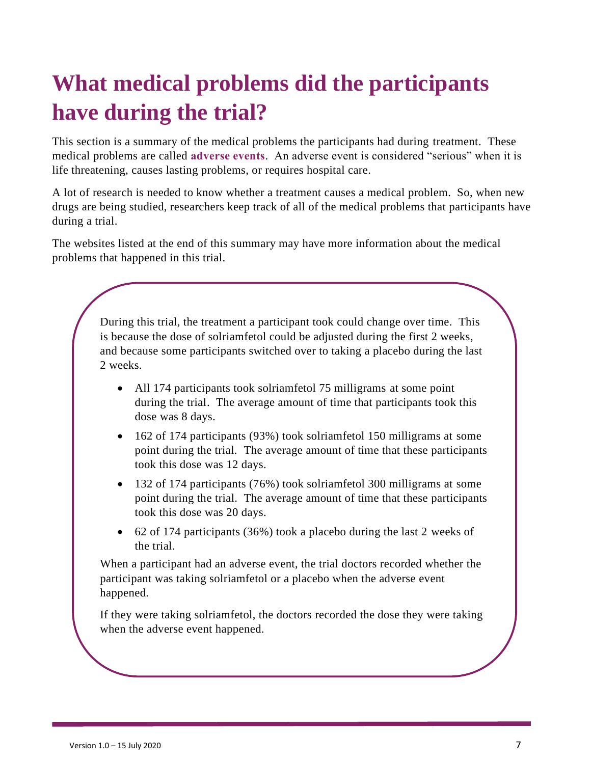# **What medical problems did the participants have during the trial?**

This section is a summary of the medical problems the participants had during treatment. These medical problems are called **adverse events**. An adverse event is considered "serious" when it is life threatening, causes lasting problems, or requires hospital care.

A lot of research is needed to know whether a treatment causes a medical problem. So, when new drugs are being studied, researchers keep track of all of the medical problems that participants have during a trial.

The websites listed at the end of this summary may have more information about the medical problems that happened in this trial.

> During this trial, the treatment a participant took could change over time. This is because the dose of solriamfetol could be adjusted during the first 2 weeks, and because some participants switched over to taking a placebo during the last 2 weeks.

- All 174 participants took solriamfetol 75 milligrams at some point during the trial. The average amount of time that participants took this dose was 8 days.
- 162 of 174 participants (93%) took solriamfetol 150 milligrams at some point during the trial. The average amount of time that these participants took this dose was 12 days.
- 132 of 174 participants (76%) took solriamfetol 300 milligrams at some point during the trial. The average amount of time that these participants took this dose was 20 days.
- 62 of 174 participants (36%) took a placebo during the last 2 weeks of the trial.

When a participant had an adverse event, the trial doctors recorded whether the participant was taking solriamfetol or a placebo when the adverse event happened.

If they were taking solriamfetol, the doctors recorded the dose they were taking when the adverse event happened.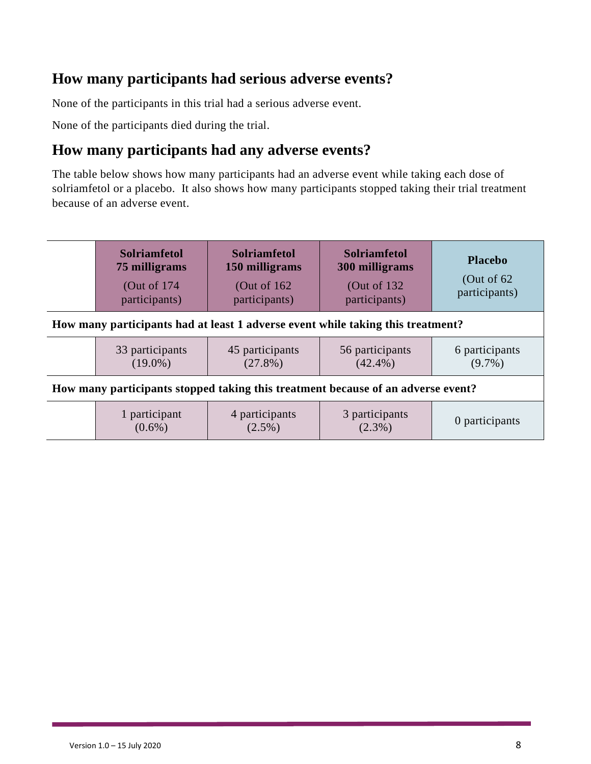### **How many participants had serious adverse events?**

None of the participants in this trial had a serious adverse event.

None of the participants died during the trial.

### **How many participants had any adverse events?**

The table below shows how many participants had an adverse event while taking each dose of solriamfetol or a placebo. It also shows how many participants stopped taking their trial treatment because of an adverse event.

|                                                                                  | <b>Solriamfetol</b><br>75 milligrams<br>(Out of $174$ )<br>participants) | <b>Solriamfetol</b><br>150 milligrams<br>(Out of $162$ )<br>participants) | <b>Solriamfetol</b><br>300 milligrams<br>(Out of $132$ )<br>participants) | <b>Placebo</b><br>(Out of $62$<br>participants) |  |  |  |
|----------------------------------------------------------------------------------|--------------------------------------------------------------------------|---------------------------------------------------------------------------|---------------------------------------------------------------------------|-------------------------------------------------|--|--|--|
| How many participants had at least 1 adverse event while taking this treatment?  |                                                                          |                                                                           |                                                                           |                                                 |  |  |  |
|                                                                                  | 33 participants<br>$(19.0\%)$                                            | 45 participants<br>$(27.8\%)$                                             | 56 participants<br>$(42.4\%)$                                             | 6 participants<br>$(9.7\%)$                     |  |  |  |
| How many participants stopped taking this treatment because of an adverse event? |                                                                          |                                                                           |                                                                           |                                                 |  |  |  |
|                                                                                  | 1 participant<br>$(0.6\%)$                                               | 4 participants<br>$(2.5\%)$                                               | 3 participants<br>$(2.3\%)$                                               | 0 participants                                  |  |  |  |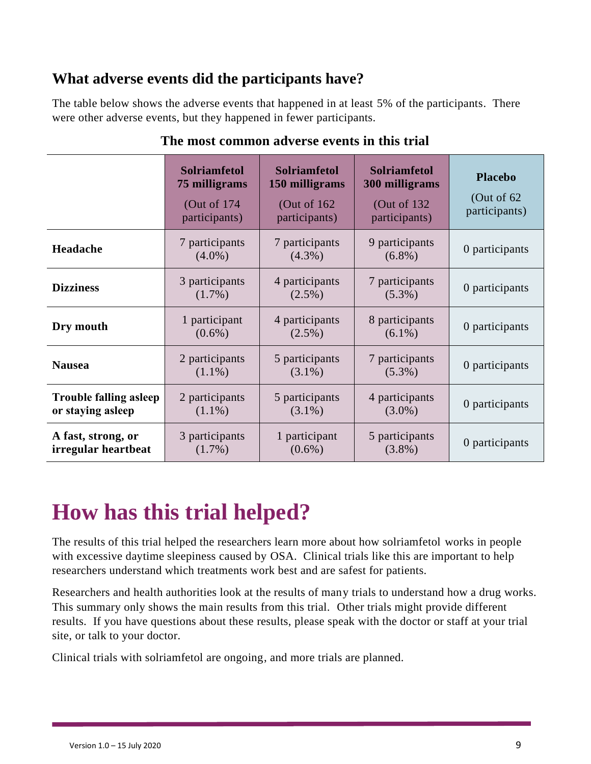### **What adverse events did the participants have?**

The table below shows the adverse events that happened in at least 5% of the participants. There were other adverse events, but they happened in fewer participants.

|                                                    | <b>Solriamfetol</b><br>75 milligrams<br>(Out of 174)<br>participants) | <b>Solriamfetol</b><br>150 milligrams<br>(Out of $162$<br>participants) | <b>Solriamfetol</b><br>300 milligrams<br>(Out of 132)<br>participants) | <b>Placebo</b><br>(Out of $62$<br>participants) |
|----------------------------------------------------|-----------------------------------------------------------------------|-------------------------------------------------------------------------|------------------------------------------------------------------------|-------------------------------------------------|
| Headache                                           | 7 participants<br>$(4.0\%)$                                           | 7 participants<br>$(4.3\%)$                                             | 9 participants<br>$(6.8\%)$                                            | 0 participants                                  |
| <b>Dizziness</b>                                   | 3 participants<br>$(1.7\%)$                                           | 4 participants<br>$(2.5\%)$                                             | 7 participants<br>$(5.3\%)$                                            | 0 participants                                  |
| Dry mouth                                          | 1 participant<br>$(0.6\%)$                                            | 4 participants<br>$(2.5\%)$                                             | 8 participants<br>$(6.1\%)$                                            | 0 participants                                  |
| <b>Nausea</b>                                      | 2 participants<br>$(1.1\%)$                                           | 5 participants<br>$(3.1\%)$                                             | 7 participants<br>$(5.3\%)$                                            | 0 participants                                  |
| <b>Trouble falling asleep</b><br>or staying asleep | 2 participants<br>$(1.1\%)$                                           | 5 participants<br>$(3.1\%)$                                             | 4 participants<br>$(3.0\%)$                                            | 0 participants                                  |
| A fast, strong, or<br>irregular heartbeat          | 3 participants<br>$(1.7\%)$                                           | 1 participant<br>$(0.6\%)$                                              | 5 participants<br>$(3.8\%)$                                            | 0 participants                                  |

### **The most common adverse events in this trial**

# **How has this trial helped?**

The results of this trial helped the researchers learn more about how solriamfetol works in people with excessive daytime sleepiness caused by OSA. Clinical trials like this are important to help researchers understand which treatments work best and are safest for patients.

Researchers and health authorities look at the results of many trials to understand how a drug works. This summary only shows the main results from this trial. Other trials might provide different results. If you have questions about these results, please speak with the doctor or staff at your trial site, or talk to your doctor.

Clinical trials with solriamfetol are ongoing, and more trials are planned.